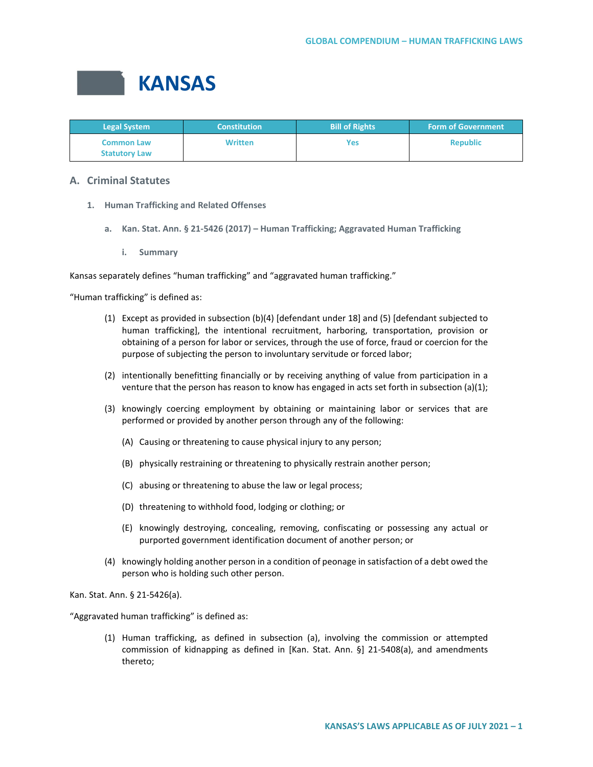

| <b>Legal System</b>                       | <b>Constitution</b> | <b>Bill of Rights</b> | <b>Form of Government</b> |
|-------------------------------------------|---------------------|-----------------------|---------------------------|
| <b>Common Law</b><br><b>Statutory Law</b> | <b>Written</b>      | Yes                   | <b>Republic</b>           |

# **A. Criminal Statutes**

- **1. Human Trafficking and Related Offenses**
	- **a. Kan. Stat. Ann. § 21-5426 (2017) – Human Trafficking; Aggravated Human Trafficking**
		- **i. Summary**

Kansas separately defines "human trafficking" and "aggravated human trafficking."

"Human trafficking" is defined as:

- (1) Except as provided in subsection (b)(4) [defendant under 18] and (5) [defendant subjected to human trafficking], the intentional recruitment, harboring, transportation, provision or obtaining of a person for labor or services, through the use of force, fraud or coercion for the purpose of subjecting the person to involuntary servitude or forced labor;
- (2) intentionally benefitting financially or by receiving anything of value from participation in a venture that the person has reason to know has engaged in acts set forth in subsection (a)(1);
- (3) knowingly coercing employment by obtaining or maintaining labor or services that are performed or provided by another person through any of the following:
	- (A) Causing or threatening to cause physical injury to any person;
	- (B) physically restraining or threatening to physically restrain another person;
	- (C) abusing or threatening to abuse the law or legal process;
	- (D) threatening to withhold food, lodging or clothing; or
	- (E) knowingly destroying, concealing, removing, confiscating or possessing any actual or purported government identification document of another person; or
- (4) knowingly holding another person in a condition of peonage in satisfaction of a debt owed the person who is holding such other person.

Kan. Stat. Ann. § 21-5426(a).

"Aggravated human trafficking" is defined as:

(1) Human trafficking, as defined in subsection (a), involving the commission or attempted commission of kidnapping as defined in [Kan. Stat. Ann. §] 21-5408(a), and amendments thereto;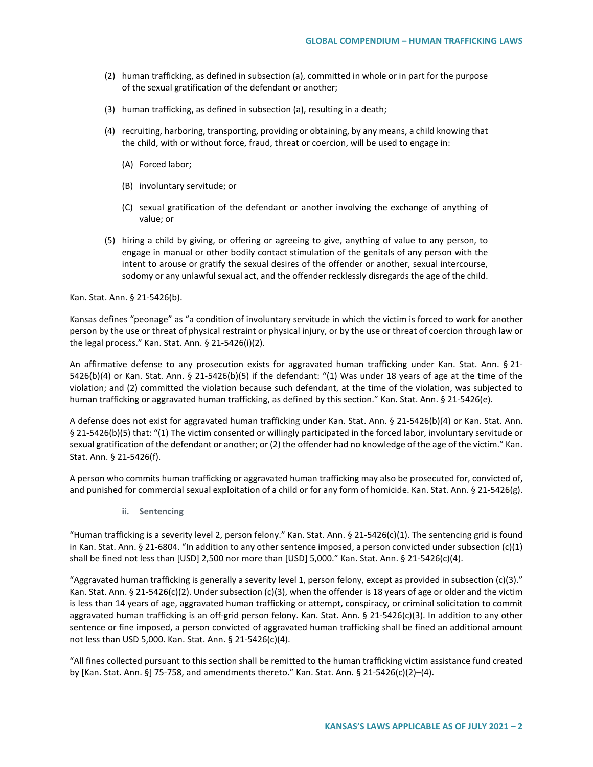- (2) human trafficking, as defined in subsection (a), committed in whole or in part for the purpose of the sexual gratification of the defendant or another;
- (3) human trafficking, as defined in subsection (a), resulting in a death;
- (4) recruiting, harboring, transporting, providing or obtaining, by any means, a child knowing that the child, with or without force, fraud, threat or coercion, will be used to engage in:
	- (A) Forced labor;
	- (B) involuntary servitude; or
	- (C) sexual gratification of the defendant or another involving the exchange of anything of value; or
- (5) hiring a child by giving, or offering or agreeing to give, anything of value to any person, to engage in manual or other bodily contact stimulation of the genitals of any person with the intent to arouse or gratify the sexual desires of the offender or another, sexual intercourse, sodomy or any unlawful sexual act, and the offender recklessly disregards the age of the child.

Kan. Stat. Ann. § 21-5426(b).

Kansas defines "peonage" as "a condition of involuntary servitude in which the victim is forced to work for another person by the use or threat of physical restraint or physical injury, or by the use or threat of coercion through law or the legal process." Kan. Stat. Ann. § 21-5426(i)(2).

An affirmative defense to any prosecution exists for aggravated human trafficking under Kan. Stat. Ann. § 21-5426(b)(4) or Kan. Stat. Ann. § 21-5426(b)(5) if the defendant: "(1) Was under 18 years of age at the time of the violation; and (2) committed the violation because such defendant, at the time of the violation, was subjected to human trafficking or aggravated human trafficking, as defined by this section." Kan. Stat. Ann. § 21-5426(e).

A defense does not exist for aggravated human trafficking under Kan. Stat. Ann. § 21-5426(b)(4) or Kan. Stat. Ann. § 21-5426(b)(5) that: "(1) The victim consented or willingly participated in the forced labor, involuntary servitude or sexual gratification of the defendant or another; or (2) the offender had no knowledge of the age of the victim." Kan. Stat. Ann. § 21-5426(f).

A person who commits human trafficking or aggravated human trafficking may also be prosecuted for, convicted of, and punished for commercial sexual exploitation of a child or for any form of homicide. Kan. Stat. Ann. § 21-5426(g).

**ii. Sentencing**

"Human trafficking is a severity level 2, person felony." Kan. Stat. Ann.  $\S 21-5426(c)(1)$ . The sentencing grid is found in Kan. Stat. Ann. § 21-6804. "In addition to any other sentence imposed, a person convicted under subsection (c)(1) shall be fined not less than [USD] 2,500 nor more than [USD] 5,000." Kan. Stat. Ann. § 21-5426(c)(4).

"Aggravated human trafficking is generally a severity level 1, person felony, except as provided in subsection (c)(3)." Kan. Stat. Ann. § 21-5426(c)(2). Under subsection (c)(3), when the offender is 18 years of age or older and the victim is less than 14 years of age, aggravated human trafficking or attempt, conspiracy, or criminal solicitation to commit aggravated human trafficking is an off-grid person felony. Kan. Stat. Ann. § 21-5426(c)(3). In addition to any other sentence or fine imposed, a person convicted of aggravated human trafficking shall be fined an additional amount not less than USD 5,000. Kan. Stat. Ann. § 21-5426(c)(4).

"All fines collected pursuant to this section shall be remitted to the human trafficking victim assistance fund created by [Kan. Stat. Ann. §] 75-758, and amendments thereto." Kan. Stat. Ann. § 21-5426(c)(2)–(4).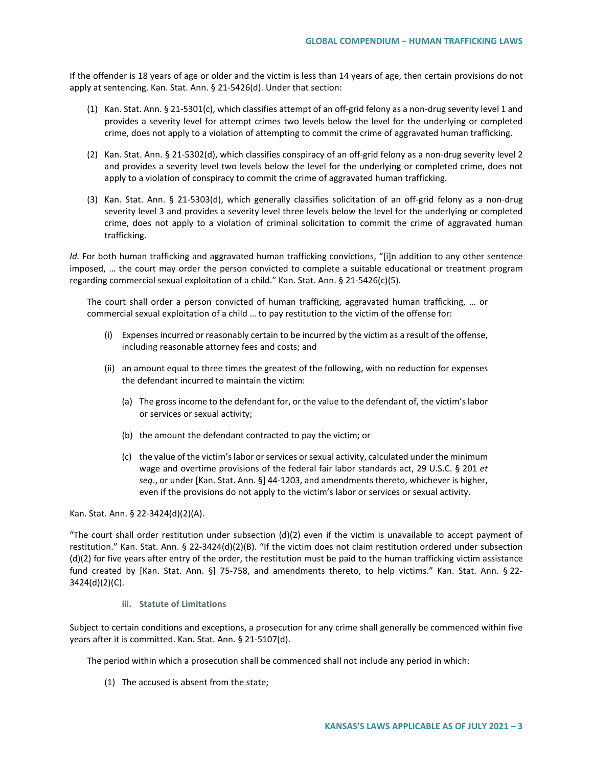If the offender is 18 years of age or older and the victim is less than 14 years of age, then certain provisions do not apply at sentencing. Kan. Stat. Ann. § 21-5426(d). Under that section:

- (1) Kan. Stat. Ann. § 21-5301(c), which classifies attempt of an off-grid felony as a non-drug severity level 1 and provides a severity level for attempt crimes two levels below the level for the underlying or completed crime, does not apply to a violation of attempting to commit the crime of aggravated human trafficking.
- (2) Kan. Stat. Ann. § 21-5302(d), which classifies conspiracy of an off-grid felony as a non-drug severity level 2 and provides a severity level two levels below the level for the underlying or completed crime, does not apply to a violation of conspiracy to commit the crime of aggravated human trafficking.
- (3) Kan. Stat. Ann. § 21-5303(d), which generally classifies solicitation of an off-grid felony as a non-drug severity level 3 and provides a severity level three levels below the level for the underlying or completed crime, does not apply to a violation of criminal solicitation to commit the crime of aggravated human trafficking.

*Id.* For both human trafficking and aggravated human trafficking convictions, "[i]n addition to any other sentence imposed, … the court may order the person convicted to complete a suitable educational or treatment program regarding commercial sexual exploitation of a child." Kan. Stat. Ann. § 21-5426(c)(5).

The court shall order a person convicted of human trafficking, aggravated human trafficking, … or commercial sexual exploitation of a child … to pay restitution to the victim of the offense for:

- (i) Expenses incurred or reasonably certain to be incurred by the victim as a result of the offense, including reasonable attorney fees and costs; and
- (ii) an amount equal to three times the greatest of the following, with no reduction for expenses the defendant incurred to maintain the victim:
	- (a) The gross income to the defendant for, or the value to the defendant of, the victim's labor or services or sexual activity;
	- (b) the amount the defendant contracted to pay the victim; or
	- (c) the value of the victim's labor or services or sexual activity, calculated under the minimum wage and overtime provisions of the federal fair labor standards act, 29 U.S.C. § 201 *et seq*., or under [Kan. Stat. Ann. §] 44-1203, and amendments thereto, whichever is higher, even if the provisions do not apply to the victim's labor or services or sexual activity.

Kan. Stat. Ann. § 22-3424(d)(2)(A).

"The court shall order restitution under subsection  $(d)(2)$  even if the victim is unavailable to accept payment of restitution." Kan. Stat. Ann. § 22-3424(d)(2)(B). "If the victim does not claim restitution ordered under subsection (d)(2) for five years after entry of the order, the restitution must be paid to the human trafficking victim assistance fund created by [Kan. Stat. Ann. §] 75-758, and amendments thereto, to help victims." Kan. Stat. Ann. § 22-3424(d)(2)(C).

**iii. Statute of Limitations**

Subject to certain conditions and exceptions, a prosecution for any crime shall generally be commenced within five years after it is committed. Kan. Stat. Ann. § 21-5107(d).

The period within which a prosecution shall be commenced shall not include any period in which:

(1) The accused is absent from the state;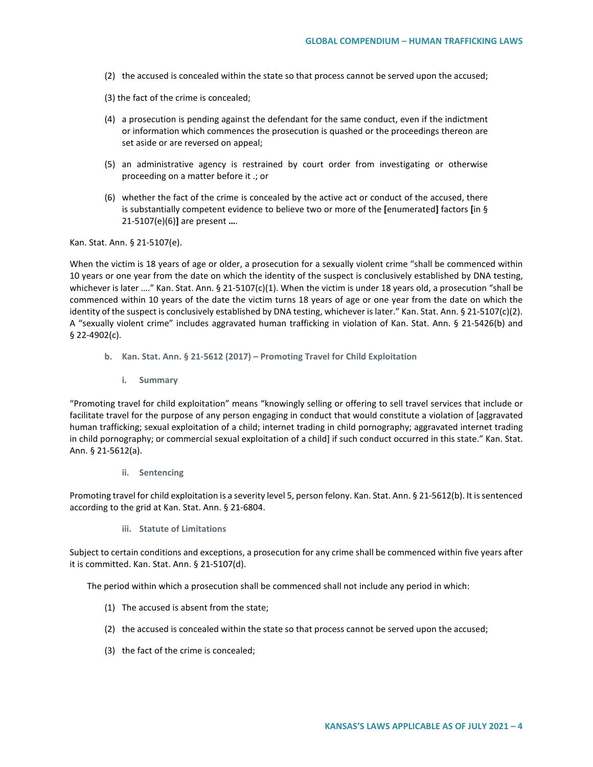- (2) the accused is concealed within the state so that process cannot be served upon the accused;
- (3) the fact of the crime is concealed;
- (4) a prosecution is pending against the defendant for the same conduct, even if the indictment or information which commences the prosecution is quashed or the proceedings thereon are set aside or are reversed on appeal;
- (5) an administrative agency is restrained by court order from investigating or otherwise proceeding on a matter before it .; or
- (6) whether the fact of the crime is concealed by the active act or conduct of the accused, there is substantially competent evidence to believe two or more of the **[**enumerated**]** factors **[**in § 21-5107(e)(6)**]** are present **…**.

Kan. Stat. Ann. § 21-5107(e).

When the victim is 18 years of age or older, a prosecution for a sexually violent crime "shall be commenced within 10 years or one year from the date on which the identity of the suspect is conclusively established by DNA testing, whichever is later ...." Kan. Stat. Ann. § 21-5107(c)(1). When the victim is under 18 years old, a prosecution "shall be commenced within 10 years of the date the victim turns 18 years of age or one year from the date on which the identity of the suspect is conclusively established by DNA testing, whichever is later." Kan. Stat. Ann. § 21-5107(c)(2). A "sexually violent crime" includes aggravated human trafficking in violation of Kan. Stat. Ann. § 21-5426(b) and § 22-4902(c).

- **b. Kan. Stat. Ann. § 21-5612 (2017) – Promoting Travel for Child Exploitation** 
	- **i. Summary**

"Promoting travel for child exploitation" means "knowingly selling or offering to sell travel services that include or facilitate travel for the purpose of any person engaging in conduct that would constitute a violation of [aggravated human trafficking; sexual exploitation of a child; internet trading in child pornography; aggravated internet trading in child pornography; or commercial sexual exploitation of a child] if such conduct occurred in this state." Kan. Stat. Ann. § 21-5612(a).

### **ii. Sentencing**

Promoting travel for child exploitation is a severity level 5, person felony. Kan. Stat. Ann. § 21-5612(b). It is sentenced according to the grid at Kan. Stat. Ann. § 21-6804.

**iii. Statute of Limitations**

Subject to certain conditions and exceptions, a prosecution for any crime shall be commenced within five years after it is committed. Kan. Stat. Ann. § 21-5107(d).

The period within which a prosecution shall be commenced shall not include any period in which:

- (1) The accused is absent from the state;
- (2) the accused is concealed within the state so that process cannot be served upon the accused;
- (3) the fact of the crime is concealed;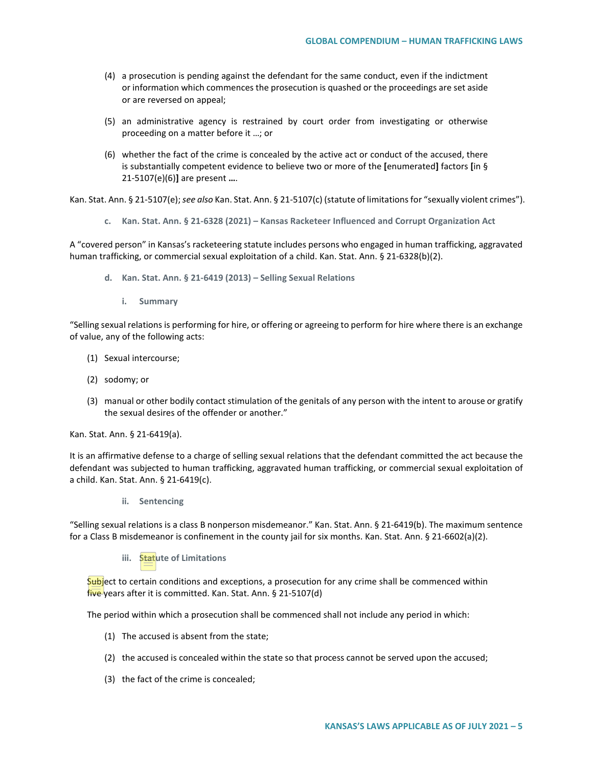- (4) a prosecution is pending against the defendant for the same conduct, even if the indictment or information which commences the prosecution is quashed or the proceedings are set aside or are reversed on appeal;
- (5) an administrative agency is restrained by court order from investigating or otherwise proceeding on a matter before it …; or
- (6) whether the fact of the crime is concealed by the active act or conduct of the accused, there is substantially competent evidence to believe two or more of the **[**enumerated**]** factors **[**in § 21-5107(e)(6)**]** are present **…**.

Kan. Stat. Ann. § 21-5107(e); *see also* Kan. Stat. Ann. § 21-5107(c) (statute of limitations for "sexually violent crimes").

**c. Kan. Stat. Ann. § 21-6328 (2021) – Kansas Racketeer Influenced and Corrupt Organization Act** 

A "covered person" in Kansas's racketeering statute includes persons who engaged in human trafficking, aggravated human trafficking, or commercial sexual exploitation of a child. Kan. Stat. Ann. § 21-6328(b)(2).

- **d. Kan. Stat. Ann. § 21-6419 (2013) – Selling Sexual Relations**
	- **i. Summary**

"Selling sexual relations is performing for hire, or offering or agreeing to perform for hire where there is an exchange of value, any of the following acts:

- (1) Sexual intercourse;
- (2) sodomy; or
- (3) manual or other bodily contact stimulation of the genitals of any person with the intent to arouse or gratify the sexual desires of the offender or another."

Kan. Stat. Ann. § 21-6419(a).

It is an affirmative defense to a charge of selling sexual relations that the defendant committed the act because the defendant was subjected to human trafficking, aggravated human trafficking, or commercial sexual exploitation of a child. Kan. Stat. Ann. § 21-6419(c).

**ii. Sentencing**

"Selling sexual relations is a class B nonperson misdemeanor." Kan. Stat. Ann. § 21-6419(b). The maximum sentence for a Class B misdemeanor is confinement in the county jail for six months. Kan. Stat. Ann. § 21-6602(a)(2).

**iii. Statute of Limitations**

Subject to certain conditions and exceptions, a prosecution for any crime shall be commenced within five years after it is committed. Kan. Stat. Ann. § 21-5107(d)

The period within which a prosecution shall be commenced shall not include any period in which:

- (1) The accused is absent from the state;
- (2) the accused is concealed within the state so that process cannot be served upon the accused;
- (3) the fact of the crime is concealed;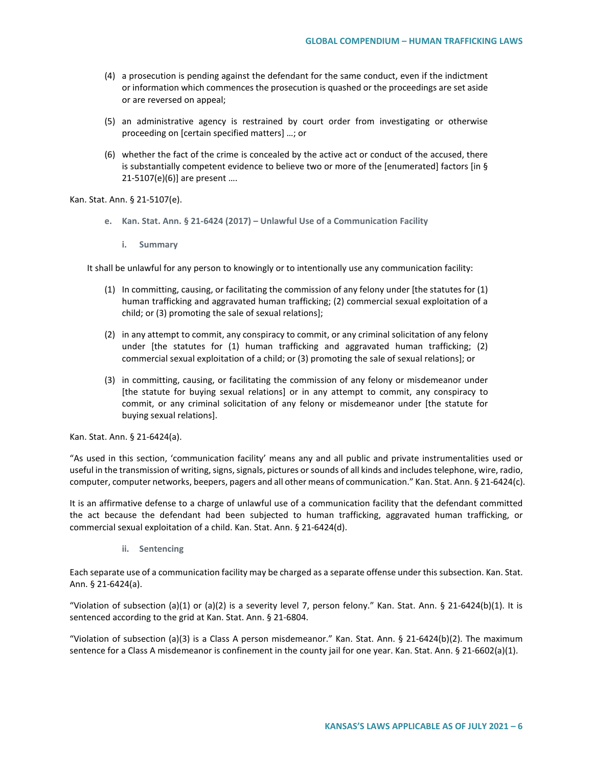- (4) a prosecution is pending against the defendant for the same conduct, even if the indictment or information which commences the prosecution is quashed or the proceedings are set aside or are reversed on appeal;
- (5) an administrative agency is restrained by court order from investigating or otherwise proceeding on [certain specified matters] …; or
- (6) whether the fact of the crime is concealed by the active act or conduct of the accused, there is substantially competent evidence to believe two or more of the [enumerated] factors [in § 21-5107(e)(6)] are present ….

Kan. Stat. Ann. § 21-5107(e).

- **e. Kan. Stat. Ann. § 21-6424 (2017) – Unlawful Use of a Communication Facility**
	- **i. Summary**

It shall be unlawful for any person to knowingly or to intentionally use any communication facility:

- (1) In committing, causing, or facilitating the commission of any felony under [the statutes for (1) human trafficking and aggravated human trafficking; (2) commercial sexual exploitation of a child; or (3) promoting the sale of sexual relations];
- (2) in any attempt to commit, any conspiracy to commit, or any criminal solicitation of any felony under [the statutes for (1) human trafficking and aggravated human trafficking; (2) commercial sexual exploitation of a child; or (3) promoting the sale of sexual relations]; or
- (3) in committing, causing, or facilitating the commission of any felony or misdemeanor under [the statute for buying sexual relations] or in any attempt to commit, any conspiracy to commit, or any criminal solicitation of any felony or misdemeanor under [the statute for buying sexual relations].

Kan. Stat. Ann. § 21-6424(a).

"As used in this section, 'communication facility' means any and all public and private instrumentalities used or useful in the transmission of writing, signs, signals, pictures or sounds of all kinds and includes telephone, wire, radio, computer, computer networks, beepers, pagers and all other means of communication." Kan. Stat. Ann. § 21-6424(c).

It is an affirmative defense to a charge of unlawful use of a communication facility that the defendant committed the act because the defendant had been subjected to human trafficking, aggravated human trafficking, or commercial sexual exploitation of a child. Kan. Stat. Ann. § 21-6424(d).

**ii. Sentencing** 

Each separate use of a communication facility may be charged as a separate offense under this subsection. Kan. Stat. Ann. § 21-6424(a).

"Violation of subsection (a)(1) or (a)(2) is a severity level 7, person felony." Kan. Stat. Ann. § 21-6424(b)(1). It is sentenced according to the grid at Kan. Stat. Ann. § 21-6804.

"Violation of subsection (a)(3) is a Class A person misdemeanor." Kan. Stat. Ann. § 21-6424(b)(2). The maximum sentence for a Class A misdemeanor is confinement in the county jail for one year. Kan. Stat. Ann. § 21-6602(a)(1).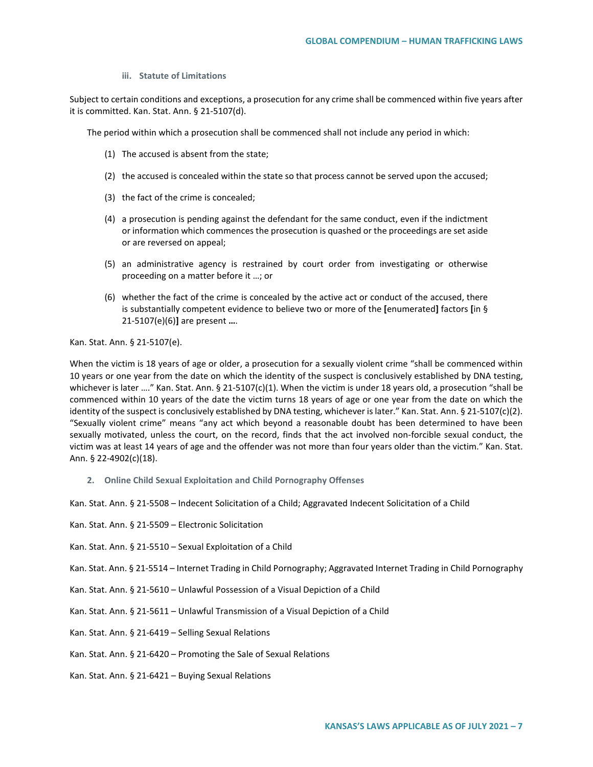**iii. Statute of Limitations** 

Subject to certain conditions and exceptions, a prosecution for any crime shall be commenced within five years after it is committed. Kan. Stat. Ann. § 21-5107(d).

The period within which a prosecution shall be commenced shall not include any period in which:

- (1) The accused is absent from the state;
- (2) the accused is concealed within the state so that process cannot be served upon the accused;
- (3) the fact of the crime is concealed;
- (4) a prosecution is pending against the defendant for the same conduct, even if the indictment or information which commences the prosecution is quashed or the proceedings are set aside or are reversed on appeal;
- (5) an administrative agency is restrained by court order from investigating or otherwise proceeding on a matter before it …; or
- (6) whether the fact of the crime is concealed by the active act or conduct of the accused, there is substantially competent evidence to believe two or more of the **[**enumerated**]** factors **[**in § 21-5107(e)(6)**]** are present **…**.

Kan. Stat. Ann. § 21-5107(e).

When the victim is 18 years of age or older, a prosecution for a sexually violent crime "shall be commenced within 10 years or one year from the date on which the identity of the suspect is conclusively established by DNA testing, whichever is later ...." Kan. Stat. Ann. § 21-5107(c)(1). When the victim is under 18 years old, a prosecution "shall be commenced within 10 years of the date the victim turns 18 years of age or one year from the date on which the identity of the suspect is conclusively established by DNA testing, whichever is later." Kan. Stat. Ann. § 21-5107(c)(2). "Sexually violent crime" means "any act which beyond a reasonable doubt has been determined to have been sexually motivated, unless the court, on the record, finds that the act involved non-forcible sexual conduct, the victim was at least 14 years of age and the offender was not more than four years older than the victim." Kan. Stat. Ann. § 22-4902(c)(18).

**2. Online Child Sexual Exploitation and Child Pornography Offenses**

Kan. Stat. Ann. § 21-5508 – Indecent Solicitation of a Child; Aggravated Indecent Solicitation of a Child

- Kan. Stat. Ann. § 21-5509 Electronic Solicitation
- Kan. Stat. Ann. § 21-5510 Sexual Exploitation of a Child

Kan. Stat. Ann. § 21-5514 – Internet Trading in Child Pornography; Aggravated Internet Trading in Child Pornography

- Kan. Stat. Ann. § 21-5610 Unlawful Possession of a Visual Depiction of a Child
- Kan. Stat. Ann. § 21-5611 Unlawful Transmission of a Visual Depiction of a Child
- Kan. Stat. Ann. § 21-6419 Selling Sexual Relations
- Kan. Stat. Ann. § 21-6420 Promoting the Sale of Sexual Relations
- Kan. Stat. Ann. § 21-6421 Buying Sexual Relations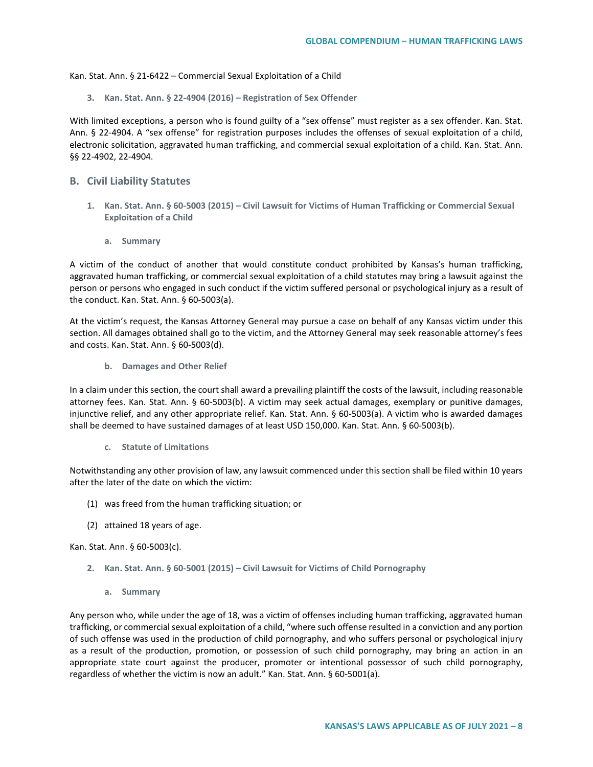Kan. Stat. Ann. § 21-6422 – Commercial Sexual Exploitation of a Child

**3. Kan. Stat. Ann. § 22-4904 (2016) – Registration of Sex Offender**

With limited exceptions, a person who is found guilty of a "sex offense" must register as a sex offender. Kan. Stat. Ann. § 22-4904. A "sex offense" for registration purposes includes the offenses of sexual exploitation of a child, electronic solicitation, aggravated human trafficking, and commercial sexual exploitation of a child. Kan. Stat. Ann. §§ 22-4902, 22-4904.

## **B. Civil Liability Statutes**

- **1. Kan. Stat. Ann. § 60-5003 (2015) – Civil Lawsuit for Victims of Human Trafficking or Commercial Sexual Exploitation of a Child**
	- **a. Summary**

A victim of the conduct of another that would constitute conduct prohibited by Kansas's human trafficking, aggravated human trafficking, or commercial sexual exploitation of a child statutes may bring a lawsuit against the person or persons who engaged in such conduct if the victim suffered personal or psychological injury as a result of the conduct. Kan. Stat. Ann. § 60-5003(a).

At the victim's request, the Kansas Attorney General may pursue a case on behalf of any Kansas victim under this section. All damages obtained shall go to the victim, and the Attorney General may seek reasonable attorney's fees and costs. Kan. Stat. Ann. § 60-5003(d).

**b. Damages and Other Relief**

In a claim under this section, the court shall award a prevailing plaintiff the costs of the lawsuit, including reasonable attorney fees. Kan. Stat. Ann. § 60-5003(b). A victim may seek actual damages, exemplary or punitive damages, injunctive relief, and any other appropriate relief. Kan. Stat. Ann. § 60-5003(a). A victim who is awarded damages shall be deemed to have sustained damages of at least USD 150,000. Kan. Stat. Ann. § 60-5003(b).

**c. Statute of Limitations**

Notwithstanding any other provision of law, any lawsuit commenced under this section shall be filed within 10 years after the later of the date on which the victim:

- (1) was freed from the human trafficking situation; or
- (2) attained 18 years of age.

Kan. Stat. Ann. § 60-5003(c).

- **2. Kan. Stat. Ann. § 60-5001 (2015) – Civil Lawsuit for Victims of Child Pornography**
	- **a. Summary**

Any person who, while under the age of 18, was a victim of offenses including human trafficking, aggravated human trafficking, or commercial sexual exploitation of a child, "where such offense resulted in a conviction and any portion of such offense was used in the production of child pornography, and who suffers personal or psychological injury as a result of the production, promotion, or possession of such child pornography, may bring an action in an appropriate state court against the producer, promoter or intentional possessor of such child pornography, regardless of whether the victim is now an adult." Kan. Stat. Ann. § 60-5001(a).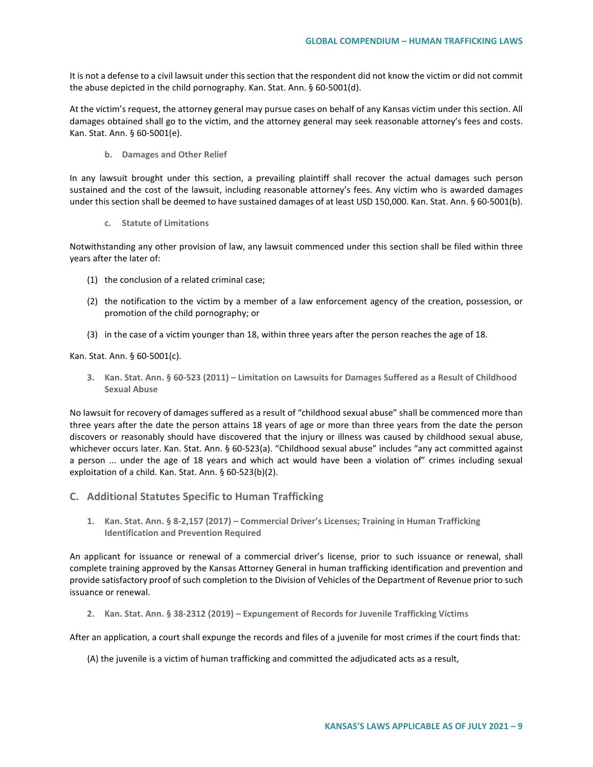It is not a defense to a civil lawsuit under this section that the respondent did not know the victim or did not commit the abuse depicted in the child pornography. Kan. Stat. Ann. § 60-5001(d).

At the victim's request, the attorney general may pursue cases on behalf of any Kansas victim under this section. All damages obtained shall go to the victim, and the attorney general may seek reasonable attorney's fees and costs. Kan. Stat. Ann. § 60-5001(e).

### **b. Damages and Other Relief**

In any lawsuit brought under this section, a prevailing plaintiff shall recover the actual damages such person sustained and the cost of the lawsuit, including reasonable attorney's fees. Any victim who is awarded damages under this section shall be deemed to have sustained damages of at least USD 150,000. Kan. Stat. Ann. § 60-5001(b).

### **c. Statute of Limitations**

Notwithstanding any other provision of law, any lawsuit commenced under this section shall be filed within three years after the later of:

- (1) the conclusion of a related criminal case;
- (2) the notification to the victim by a member of a law enforcement agency of the creation, possession, or promotion of the child pornography; or
- (3) in the case of a victim younger than 18, within three years after the person reaches the age of 18.

Kan. Stat. Ann. § 60-5001(c).

**3. Kan. Stat. Ann. § 60-523 (2011) – Limitation on Lawsuits for Damages Suffered as a Result of Childhood Sexual Abuse**

No lawsuit for recovery of damages suffered as a result of "childhood sexual abuse" shall be commenced more than three years after the date the person attains 18 years of age or more than three years from the date the person discovers or reasonably should have discovered that the injury or illness was caused by childhood sexual abuse, whichever occurs later. Kan. Stat. Ann. § 60-523(a). "Childhood sexual abuse" includes "any act committed against a person ... under the age of 18 years and which act would have been a violation of" crimes including sexual exploitation of a child. Kan. Stat. Ann. § 60-523(b)(2).

- **C. Additional Statutes Specific to Human Trafficking** 
	- **1. Kan. Stat. Ann. § 8-2,157 (2017) – Commercial Driver's Licenses; Training in Human Trafficking Identification and Prevention Required**

An applicant for issuance or renewal of a commercial driver's license, prior to such issuance or renewal, shall complete training approved by the Kansas Attorney General in human trafficking identification and prevention and provide satisfactory proof of such completion to the Division of Vehicles of the Department of Revenue prior to such issuance or renewal.

**2. Kan. Stat. Ann. § 38-2312 (2019) – Expungement of Records for Juvenile Trafficking Victims**

After an application, a court shall expunge the records and files of a juvenile for most crimes if the court finds that:

(A) the juvenile is a victim of human trafficking and committed the adjudicated acts as a result,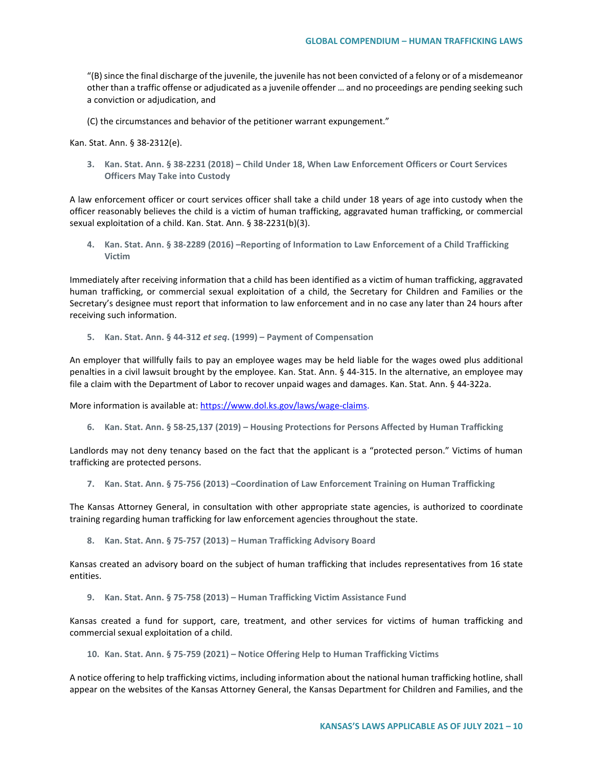"(B) since the final discharge of the juvenile, the juvenile has not been convicted of a felony or of a misdemeanor other than a traffic offense or adjudicated as a juvenile offender … and no proceedings are pending seeking such a conviction or adjudication, and

(C) the circumstances and behavior of the petitioner warrant expungement."

Kan. Stat. Ann. § 38-2312(e).

**3. Kan. Stat. Ann. § 38-2231 (2018) – Child Under 18, When Law Enforcement Officers or Court Services Officers May Take into Custody**

A law enforcement officer or court services officer shall take a child under 18 years of age into custody when the officer reasonably believes the child is a victim of human trafficking, aggravated human trafficking, or commercial sexual exploitation of a child. Kan. Stat. Ann. § 38-2231(b)(3).

**4. Kan. Stat. Ann. § 38-2289 (2016) –Reporting of Information to Law Enforcement of a Child Trafficking Victim**

Immediately after receiving information that a child has been identified as a victim of human trafficking, aggravated human trafficking, or commercial sexual exploitation of a child, the Secretary for Children and Families or the Secretary's designee must report that information to law enforcement and in no case any later than 24 hours after receiving such information.

**5. Kan. Stat. Ann. § 44-312** *et seq***. (1999) – Payment of Compensation**

An employer that willfully fails to pay an employee wages may be held liable for the wages owed plus additional penalties in a civil lawsuit brought by the employee. Kan. Stat. Ann. § 44-315. In the alternative, an employee may file a claim with the Department of Labor to recover unpaid wages and damages. Kan. Stat. Ann. § 44-322a.

More information is available at: [https://www.dol.ks.gov/laws/wage-claims.](https://www.dol.ks.gov/laws/wage-claims)

**6. Kan. Stat. Ann. § 58-25,137 (2019) – Housing Protections for Persons Affected by Human Trafficking**

Landlords may not deny tenancy based on the fact that the applicant is a "protected person." Victims of human trafficking are protected persons.

**7. Kan. Stat. Ann. § 75-756 (2013) –Coordination of Law Enforcement Training on Human Trafficking**

The Kansas Attorney General, in consultation with other appropriate state agencies, is authorized to coordinate training regarding human trafficking for law enforcement agencies throughout the state.

**8. Kan. Stat. Ann. § 75-757 (2013) – Human Trafficking Advisory Board**

Kansas created an advisory board on the subject of human trafficking that includes representatives from 16 state entities.

**9. Kan. Stat. Ann. § 75-758 (2013) – Human Trafficking Victim Assistance Fund** 

Kansas created a fund for support, care, treatment, and other services for victims of human trafficking and commercial sexual exploitation of a child.

**10. Kan. Stat. Ann. § 75-759 (2021) – Notice Offering Help to Human Trafficking Victims** 

A notice offering to help trafficking victims, including information about the national human trafficking hotline, shall appear on the websites of the Kansas Attorney General, the Kansas Department for Children and Families, and the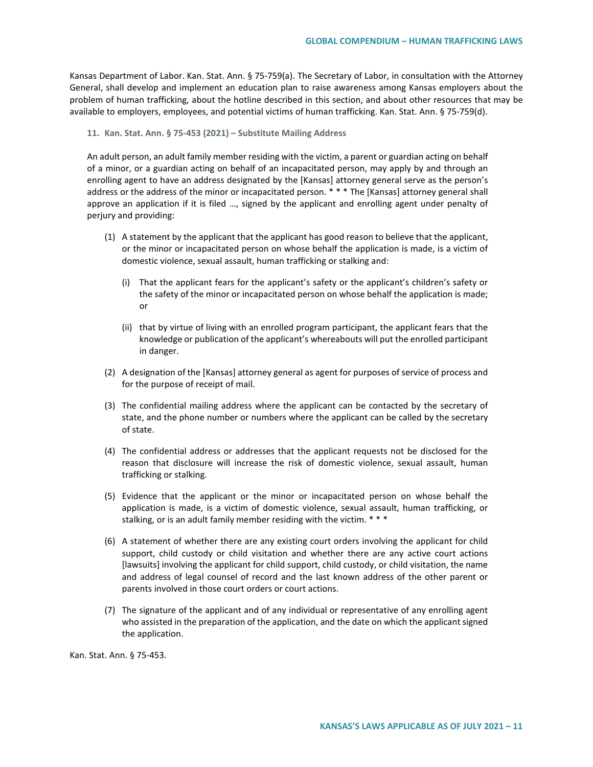Kansas Department of Labor. Kan. Stat. Ann. § 75-759(a). The Secretary of Labor, in consultation with the Attorney General, shall develop and implement an education plan to raise awareness among Kansas employers about the problem of human trafficking, about the hotline described in this section, and about other resources that may be available to employers, employees, and potential victims of human trafficking. Kan. Stat. Ann. § 75-759(d).

#### **11. Kan. Stat. Ann. § 75-453 (2021) – Substitute Mailing Address**

An adult person, an adult family member residing with the victim, a parent or guardian acting on behalf of a minor, or a guardian acting on behalf of an incapacitated person, may apply by and through an enrolling agent to have an address designated by the [Kansas] attorney general serve as the person's address or the address of the minor or incapacitated person. \* \* \* The [Kansas] attorney general shall approve an application if it is filed …, signed by the applicant and enrolling agent under penalty of perjury and providing:

- (1) A statement by the applicant that the applicant has good reason to believe that the applicant, or the minor or incapacitated person on whose behalf the application is made, is a victim of domestic violence, sexual assault, human trafficking or stalking and:
	- (i) That the applicant fears for the applicant's safety or the applicant's children's safety or the safety of the minor or incapacitated person on whose behalf the application is made; or
	- (ii) that by virtue of living with an enrolled program participant, the applicant fears that the knowledge or publication of the applicant's whereabouts will put the enrolled participant in danger.
- (2) A designation of the [Kansas] attorney general as agent for purposes of service of process and for the purpose of receipt of mail.
- (3) The confidential mailing address where the applicant can be contacted by the secretary of state, and the phone number or numbers where the applicant can be called by the secretary of state.
- (4) The confidential address or addresses that the applicant requests not be disclosed for the reason that disclosure will increase the risk of domestic violence, sexual assault, human trafficking or stalking.
- (5) Evidence that the applicant or the minor or incapacitated person on whose behalf the application is made, is a victim of domestic violence, sexual assault, human trafficking, or stalking, or is an adult family member residing with the victim. \* \* \*
- (6) A statement of whether there are any existing court orders involving the applicant for child support, child custody or child visitation and whether there are any active court actions [lawsuits] involving the applicant for child support, child custody, or child visitation, the name and address of legal counsel of record and the last known address of the other parent or parents involved in those court orders or court actions.
- (7) The signature of the applicant and of any individual or representative of any enrolling agent who assisted in the preparation of the application, and the date on which the applicant signed the application.

Kan. Stat. Ann. § 75-453.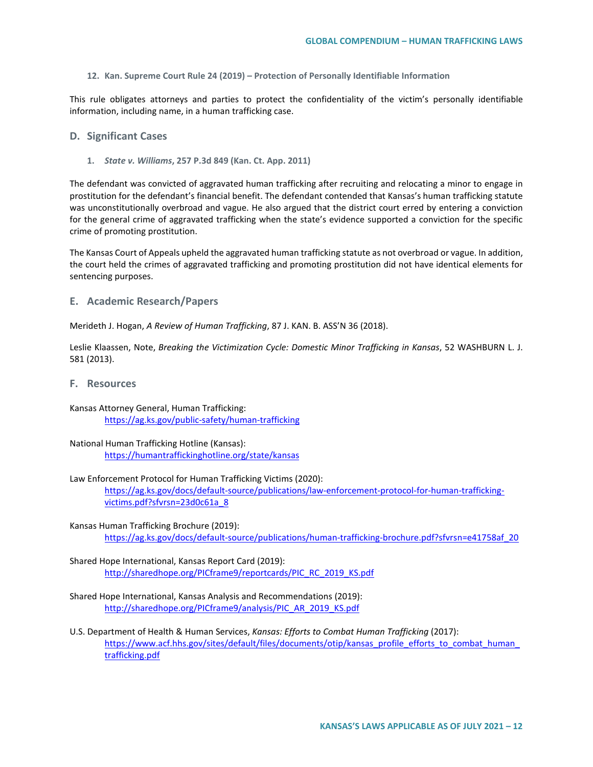**12. Kan. Supreme Court Rule 24 (2019) – Protection of Personally Identifiable Information**

This rule obligates attorneys and parties to protect the confidentiality of the victim's personally identifiable information, including name, in a human trafficking case.

### **D. Significant Cases**

**1.** *State v. Williams***, 257 P.3d 849 (Kan. Ct. App. 2011)**

The defendant was convicted of aggravated human trafficking after recruiting and relocating a minor to engage in prostitution for the defendant's financial benefit. The defendant contended that Kansas's human trafficking statute was unconstitutionally overbroad and vague. He also argued that the district court erred by entering a conviction for the general crime of aggravated trafficking when the state's evidence supported a conviction for the specific crime of promoting prostitution.

The Kansas Court of Appeals upheld the aggravated human trafficking statute as not overbroad or vague. In addition, the court held the crimes of aggravated trafficking and promoting prostitution did not have identical elements for sentencing purposes.

**E. Academic Research/Papers**

Merideth J. Hogan, *A Review of Human Trafficking*, 87 J. KAN. B. ASS'N 36 (2018).

Leslie Klaassen, Note, *Breaking the Victimization Cycle: Domestic Minor Trafficking in Kansas*, 52 WASHBURN L. J. 581 (2013).

- **F. Resources**
- Kansas Attorney General, Human Trafficking: <https://ag.ks.gov/public-safety/human-trafficking>
- National Human Trafficking Hotline (Kansas): <https://humantraffickinghotline.org/state/kansas>
- Law Enforcement Protocol for Human Trafficking Victims (2020): [https://ag.ks.gov/docs/default-source/publications/law-enforcement-protocol-for-human-trafficking](https://ag.ks.gov/docs/default-source/publications/law-enforcement-protocol-for-human-trafficking-victims.pdf?sfvrsn=23d0c61a_8)[victims.pdf?sfvrsn=23d0c61a\\_8](https://ag.ks.gov/docs/default-source/publications/law-enforcement-protocol-for-human-trafficking-victims.pdf?sfvrsn=23d0c61a_8)

Kansas Human Trafficking Brochure (2019): [https://ag.ks.gov/docs/default-source/publications/human-trafficking-brochure.pdf?sfvrsn=e41758af\\_20](https://ag.ks.gov/docs/default-source/publications/human-trafficking-brochure.pdf?sfvrsn=e41758af_20)

Shared Hope International, Kansas Report Card (2019): [http://sharedhope.org/PICframe9/reportcards/PIC\\_RC\\_2019\\_KS.pdf](http://sharedhope.org/PICframe9/reportcards/PIC_RC_2019_KS.pdf)

- Shared Hope International, Kansas Analysis and Recommendations (2019): [http://sharedhope.org/PICframe9/analysis/PIC\\_AR\\_2019\\_KS.pdf](http://sharedhope.org/PICframe9/analysis/PIC_AR_2019_KS.pdf)
- U.S. Department of Health & Human Services, *Kansas: Efforts to Combat Human Trafficking* (2017): [https://www.acf.hhs.gov/sites/default/files/documents/otip/kansas\\_profile\\_efforts\\_to\\_combat\\_human\\_](https://www.acf.hhs.gov/sites/default/files/documents/otip/kansas_profile_efforts_to_combat_human_trafficking.pdf) [trafficking.pdf](https://www.acf.hhs.gov/sites/default/files/documents/otip/kansas_profile_efforts_to_combat_human_trafficking.pdf)